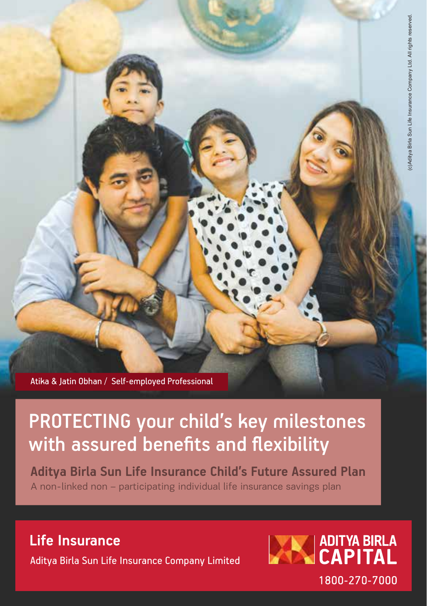Atika & Jatin Obhan / Self-employed Professional

## PROTECTING your child's key milestones with assured benefits and flexibility

**Aditya Birla Sun Life Insurance Child's Future Assured Plan** A non-linked non – participating individual life insurance savings plan

**Life Insurance**

Aditya Birla Sun Life Insurance Company Limited

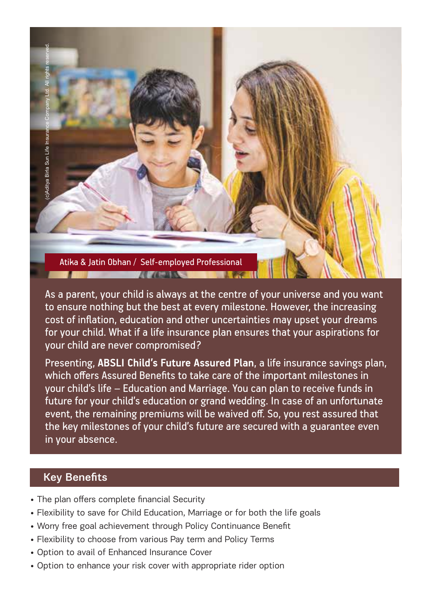Atika & Jatin Obhan / Self-employed Professional  $10.765888$ 

As a parent, your child is always at the centre of your universe and you want to ensure nothing but the best at every milestone. However, the increasing cost of inflation, education and other uncertainties may upset your dreams for your child. What if a life insurance plan ensures that your aspirations for your child are never compromised?

Presenting, **ABSLI Child's Future Assured Plan**, a life insurance savings plan, which offers Assured Benefits to take care of the important milestones in your child's life – Education and Marriage. You can plan to receive funds in future for your child's education or grand wedding. In case of an unfortunate event, the remaining premiums will be waived off. So, you rest assured that the key milestones of your child's future are secured with a guarantee even in your absence.

## Key Benefits

(c)Aditya Birla Sun Life Insurance Company Ltd. All rights reserved.

ditva Birla Sun Life

- The plan offers complete financial Security
- Flexibility to save for Child Education, Marriage or for both the life goals
- Worry free goal achievement through Policy Continuance Benefit
- Flexibility to choose from various Pay term and Policy Terms
- Option to avail of Enhanced Insurance Cover
- Option to enhance your risk cover with appropriate rider option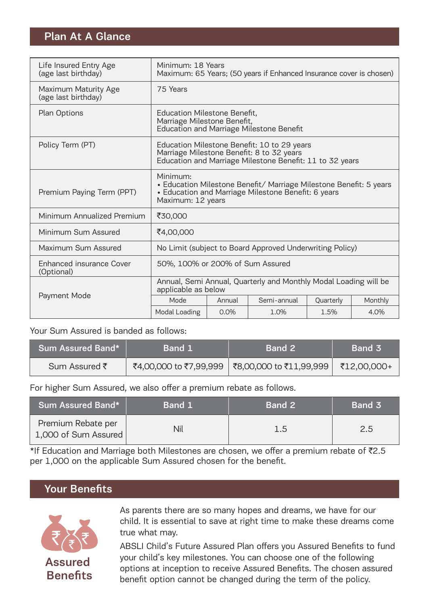## Plan At A Glance

| Life Insured Entry Age<br>(age last birthday) | Minimum: 18 Years<br>Maximum: 65 Years; (50 years if Enhanced Insurance cover is chosen)                                                                   |                                                                                                                                                      |             |           |         |
|-----------------------------------------------|------------------------------------------------------------------------------------------------------------------------------------------------------------|------------------------------------------------------------------------------------------------------------------------------------------------------|-------------|-----------|---------|
| Maximum Maturity Age<br>(age last birthday)   | 75 Years                                                                                                                                                   |                                                                                                                                                      |             |           |         |
| Plan Options                                  | Education Milestone Benefit,<br>Marriage Milestone Benefit,<br><b>Education and Marriage Milestone Benefit</b>                                             |                                                                                                                                                      |             |           |         |
| Policy Term (PT)                              |                                                                                                                                                            | Education Milestone Benefit: 10 to 29 years<br>Marriage Milestone Benefit: 8 to 32 years<br>Education and Marriage Milestone Benefit: 11 to 32 years |             |           |         |
| Premium Paying Term (PPT)                     | Minimum:<br>• Education Milestone Benefit/ Marriage Milestone Benefit: 5 years<br>• Education and Marriage Milestone Benefit: 6 years<br>Maximum: 12 years |                                                                                                                                                      |             |           |         |
| Minimum Annualized Premium                    | ₹30,000                                                                                                                                                    |                                                                                                                                                      |             |           |         |
| Minimum Sum Assured                           | ₹4,00,000                                                                                                                                                  |                                                                                                                                                      |             |           |         |
| Maximum Sum Assured                           | No Limit (subject to Board Approved Underwriting Policy)                                                                                                   |                                                                                                                                                      |             |           |         |
| Enhanced insurance Cover<br>(Optional)        | 50%, 100% or 200% of Sum Assured                                                                                                                           |                                                                                                                                                      |             |           |         |
|                                               | Annual, Semi Annual, Quarterly and Monthly Modal Loading will be<br>applicable as below                                                                    |                                                                                                                                                      |             |           |         |
| Payment Mode                                  | Mode                                                                                                                                                       | Annual                                                                                                                                               | Semi-annual | Quarterly | Monthly |
|                                               | Modal Loading                                                                                                                                              | 0.0%                                                                                                                                                 | 1.0%        | 1.5%      | 4.0%    |

#### Your Sum Assured is banded as follows:

| 'Sum Assured Band* . | <b>Band 1</b> | <b>Band 2</b>                                    | <b>Band 3</b> |
|----------------------|---------------|--------------------------------------------------|---------------|
| Sum Assured ₹        |               | ₹4,00,000 to ₹7,99,999   ₹8,00,000 to ₹11,99,999 | ₹12,00,000+   |

For higher Sum Assured, we also offer a premium rebate as follows.

| Sum Assured Band*                          | Band 1 | <b>Band 2</b> | Band 3 |
|--------------------------------------------|--------|---------------|--------|
| Premium Rebate per<br>1,000 of Sum Assured | Nil    | 1.5           | 2.5    |

\*If Education and Marriage both Milestones are chosen, we offer a premium rebate of  $\overline{z}2.5$ per 1,000 on the applicable Sum Assured chosen for the benefit.

## Your Benefits



As parents there are so many hopes and dreams, we have for our child. It is essential to save at right time to make these dreams come true what may.

ABSLI Child's Future Assured Plan offers you Assured Benefits to fund your child's key milestones. You can choose one of the following options at inception to receive Assured Benefits. The chosen assured benefit option cannot be changed during the term of the policy.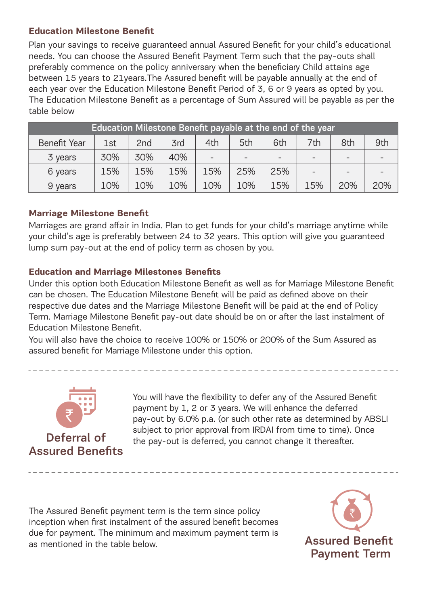#### **Education Milestone Benefit**

Plan your savings to receive guaranteed annual Assured Benefit for your child's educational needs. You can choose the Assured Benefit Payment Term such that the pay-outs shall preferably commence on the policy anniversary when the beneficiary Child attains age between 15 years to 21years.The Assured benefit will be payable annually at the end of each year over the Education Milestone Benefit Period of 3, 6 or 9 years as opted by you. The Education Milestone Benefit as a percentage of Sum Assured will be payable as per the table below

| Education Milestone Benefit payable at the end of the year |     |                 |     |                |     |     |     |                          |     |
|------------------------------------------------------------|-----|-----------------|-----|----------------|-----|-----|-----|--------------------------|-----|
| Benefit Year                                               | 1st | 2 <sub>nd</sub> | 3rd | 4th            | 5th | 6th | 7th | 8th                      | 9th |
| 3 years                                                    | 30% | 30%             | 40% | $\overline{a}$ |     |     |     | $\overline{\phantom{0}}$ |     |
| 6 years                                                    | 15% | 15%             | 15% | 15%            | 25% | 25% |     | $\qquad \qquad$          |     |
| 9 years                                                    | 10% | 10%             | 10% | 10%            | 10% | 15% | 15% | 20%                      | 20% |

#### **Marriage Milestone Benefit**

Marriages are grand affair in India. Plan to get funds for your child's marriage anytime while your child's age is preferably between 24 to 32 years. This option will give you guaranteed lump sum pay-out at the end of policy term as chosen by you.

#### **Education and Marriage Milestones Benefits**

Under this option both Education Milestone Benefit as well as for Marriage Milestone Benefit can be chosen. The Education Milestone Benefit will be paid as defined above on their respective due dates and the Marriage Milestone Benefit will be paid at the end of Policy Term. Marriage Milestone Benefit pay-out date should be on or after the last instalment of Education Milestone Benefit.

You will also have the choice to receive 100% or 150% or 200% of the Sum Assured as assured benefit for Marriage Milestone under this option.



# Assured Benefits

You will have the flexibility to defer any of the Assured Benefit payment by 1, 2 or 3 years. We will enhance the deferred pay-out by 6.0% p.a. (or such other rate as determined by ABSLI subject to prior approval from IRDAI from time to time). Once Deferral of the pay-out is deferred, you cannot change it thereafter.

The Assured Benefit payment term is the term since policy inception when first instalment of the assured benefit becomes due for payment. The minimum and maximum payment term is as nentioned in the table below.

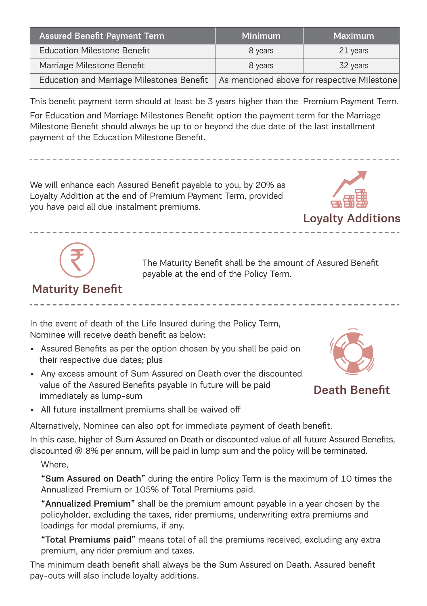| <b>Assured Benefit Payment Term</b>       | Minimum | Maximum                                     |
|-------------------------------------------|---------|---------------------------------------------|
| <b>Education Milestone Benefit</b>        | 8 years | 21 years                                    |
| Marriage Milestone Benefit                | 8 years | 32 years                                    |
| Education and Marriage Milestones Benefit |         | As mentioned above for respective Milestone |

This benefit payment term should at least be 3 years higher than the Premium Payment Term. For Education and Marriage Milestones Benefit option the payment term for the Marriage Milestone Benefit should always be up to or beyond the due date of the last installment payment of the Education Milestone Benefit.

We will enhance each Assured Benefit payable to you, by 20% as Loyalty Addition at the end of Premium Payment Term, provided you have paid all due instalment premiums.





The Maturity Benefit shall be the amount of Assured Benefit payable at the end of the Policy Term.

## Maturity Benefit

In the event of death of the Life Insured during the Policy Term, Nominee will receive death benefit as below:

- Assured Benefits as per the option chosen by you shall be paid on their respective due dates; plus
- Any excess amount of Sum Assured on Death over the discounted value of the Assured Benefits payable in future will be paid immediately as lump-sum



Death Benefit

• All future installment premiums shall be waived off

Alternatively, Nominee can also opt for immediate payment of death benefit.

In this case, higher of Sum Assured on Death or discounted value of all future Assured Benefits, discounted @ 8% per annum, will be paid in lump sum and the policy will be terminated.

#### Where,

"Sum Assured on Death" during the entire Policy Term is the maximum of 10 times the Annualized Premium or 105% of Total Premiums paid.

"Annualized Premium" shall be the premium amount payable in a year chosen by the policyholder, excluding the taxes, rider premiums, underwriting extra premiums and loadings for modal premiums, if any.

"Total Premiums paid" means total of all the premiums received, excluding any extra premium, any rider premium and taxes.

The minimum death benefit shall always be the Sum Assured on Death. Assured benefit pay-outs will also include loyalty additions.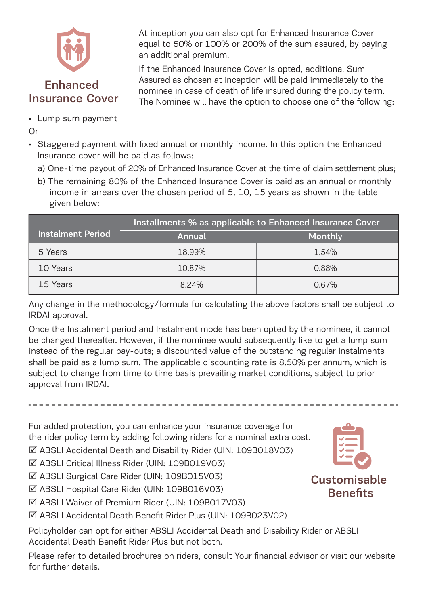

At inception you can also opt for Enhanced Insurance Cover equal to 50% or 100% or 200% of the sum assured, by paying an additional premium.

If the Enhanced Insurance Cover is opted, additional Sum Assured as chosen at inception will be paid immediately to the nominee in case of death of life insured during the policy term. The Nominee will have the option to choose one of the following:

• Lump sum payment

Or

- Staggered payment with fixed annual or monthly income. In this option the Enhanced Insurance cover will be paid as follows:
	- a) One-time payout of 20% of Enhanced Insurance Cover at the time of claim settlement plus;
	- b) The remaining 80% of the Enhanced Insurance Cover is paid as an annual or monthly income in arrears over the chosen period of 5, 10, 15 years as shown in the table given below:

|                          | Installments % as applicable to Enhanced Insurance Cover |         |  |  |
|--------------------------|----------------------------------------------------------|---------|--|--|
| <b>Instalment Period</b> | Annual                                                   | Monthly |  |  |
| 5 Years                  | 18.99%                                                   | 1.54%   |  |  |
| 10 Years                 | 10.87%                                                   | 0.88%   |  |  |
| 15 Years                 | 8.24%                                                    | 0.67%   |  |  |

Any change in the methodology/formula for calculating the above factors shall be subject to IRDAI approval.

Once the Instalment period and Instalment mode has been opted by the nominee, it cannot be changed thereafter. However, if the nominee would subsequently like to get a lump sum instead of the regular pay-outs; a discounted value of the outstanding regular instalments shall be paid as a lump sum. The applicable discounting rate is 8.50% per annum, which is subject to change from time to time basis prevailing market conditions, subject to prior approval from IRDAI.

For added protection, you can enhance your insurance coverage for the rider policy term by adding following riders for a nominal extra cost.

ABSLI Accidental Death and Disability Rider (UIN: 109B018V03)

- ABSLI Critical Illness Rider (UIN: 109B019V03)
- ABSLI Surgical Care Rider (UIN: 109B015V03)
- ABSLI Hospital Care Rider (UIN: 109B016V03)
- ABSLI Waiver of Premium Rider (UIN: 109B017V03)
- ABSLI Accidental Death Benefit Rider Plus (UIN: 109B023V02)

Policyholder can opt for either ABSLI Accidental Death and Disability Rider or ABSLI Accidental Death Benefit Rider Plus but not both.

Please refer to detailed brochures on riders, consult Your financial advisor or visit our website for further details.

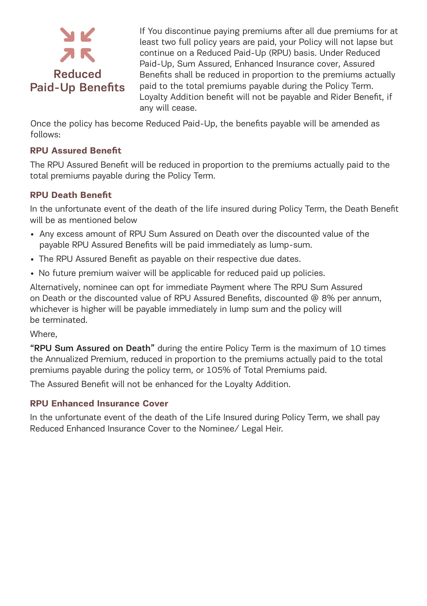

If You discontinue paying premiums after all due premiums for at least two full policy years are paid, your Policy will not lapse but continue on a Reduced Paid-Up (RPU) basis. Under Reduced Paid-Up, Sum Assured, Enhanced Insurance cover, Assured Benefits shall be reduced in proportion to the premiums actually paid to the total premiums payable during the Policy Term. Loyalty Addition benefit will not be payable and Rider Benefit, if any will cease.

Once the policy has become Reduced Paid-Up, the benefits payable will be amended as follows:

#### **RPU Assured Benefit**

The RPU Assured Benefit will be reduced in proportion to the premiums actually paid to the total premiums payable during the Policy Term.

#### **RPU Death Benefit**

In the unfortunate event of the death of the life insured during Policy Term, the Death Benefit will be as mentioned below

- Any excess amount of RPU Sum Assured on Death over the discounted value of the payable RPU Assured Benefits will be paid immediately as lump-sum.
- The RPU Assured Benefit as payable on their respective due dates.
- No future premium waiver will be applicable for reduced paid up policies.

Alternatively, nominee can opt for immediate Payment where The RPU Sum Assured on Death or the discounted value of RPU Assured Benefits, discounted @ 8% per annum, whichever is higher will be payable immediately in lump sum and the policy will be terminated.

#### Where,

"RPU Sum Assured on Death" during the entire Policy Term is the maximum of 10 times the Annualized Premium, reduced in proportion to the premiums actually paid to the total premiums payable during the policy term, or 105% of Total Premiums paid.

The Assured Benefit will not be enhanced for the Loyalty Addition.

#### **RPU Enhanced Insurance Cover**

In the unfortunate event of the death of the Life Insured during Policy Term, we shall pay Reduced Enhanced Insurance Cover to the Nominee/ Legal Heir.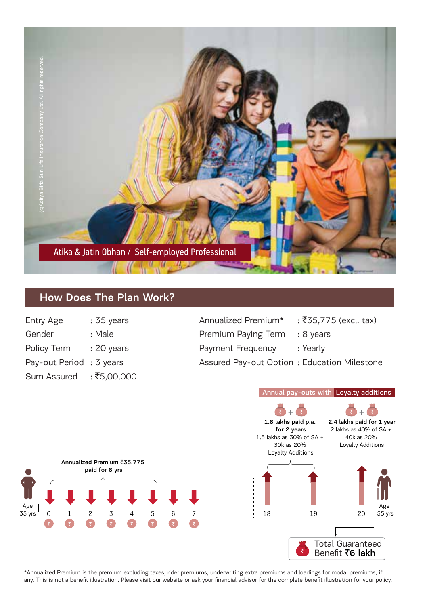

## How Does The Plan Work?

| : 35 years  |
|-------------|
| : Male      |
| : 20 years  |
| : 3 years   |
| : ₹5,00,000 |
|             |

| Entry Age               | $:35$ vears | Annualized Premium*                         | : ₹35.775 (excl. tax) |
|-------------------------|-------------|---------------------------------------------|-----------------------|
| Gender                  | : Male      | Premium Paying Term                         | : 8 vears             |
| Policv Term             | : 20 years  | Payment Frequency                           | :Yearlv               |
| Pay-out Period: 3 years |             | Assured Pay-out Option: Education Milestone |                       |

#### Annual pay-outs with Loyalty additions 2.4 lakhs paid for 1 year 1.8 lakhs paid p.a. 2 lakhs as 40% of SA + for 2 years 1.5 lakhs as 30% of SA + 40k as 20% 30k as 20% Loyalty Additions Loyalty Additions Annualized Premium ₹35,775 paid for 8 yrs Age Age 35 yrs 55 yrs 0 1 2 3 4 5 6 7 18 19 20 रि G  $\overline{\mathbf{c}}$  $\overline{\mathbf{z}}$ Q  $\overline{\mathbf{z}}$  $\overline{\mathbf{z}}$ € Total Guaranteed  $\overline{\overline{\zeta}}$ Benefit ₹6 lakh

\*Annualized Premium is the premium excluding taxes, rider premiums, underwriting extra premiums and loadings for modal premiums, if any. This is not a benefit illustration. Please visit our website or ask your financial advisor for the complete benefit illustration for your policy.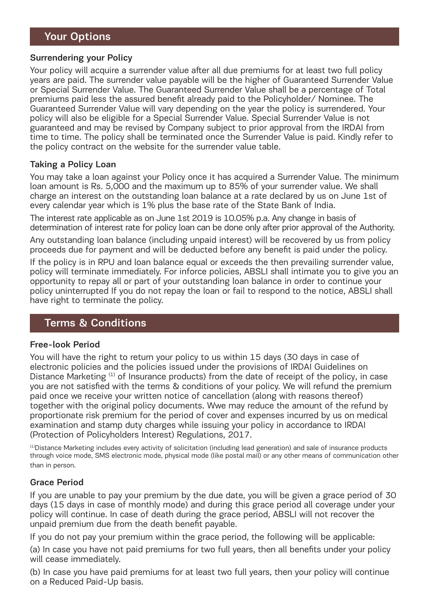### Your Options

#### Surrendering your Policy

Your policy will acquire a surrender value after all due premiums for at least two full policy years are paid. The surrender value payable will be the higher of Guaranteed Surrender Value or Special Surrender Value. The Guaranteed Surrender Value shall be a percentage of Total premiums paid less the assured benefit already paid to the Policyholder/ Nominee. The Guaranteed Surrender Value will vary depending on the year the policy is surrendered. Your policy will also be eligible for a Special Surrender Value. Special Surrender Value is not guaranteed and may be revised by Company subject to prior approval from the IRDAI from time to time. The policy shall be terminated once the Surrender Value is paid. Kindly refer to the policy contract on the website for the surrender value table.

#### Taking a Policy Loan

You may take a loan against your Policy once it has acquired a Surrender Value. The minimum loan amount is Rs. 5,000 and the maximum up to 85% of your surrender value. We shall charge an interest on the outstanding loan balance at a rate declared by us on June 1st of every calendar year which is 1% plus the base rate of the State Bank of India.

The interest rate applicable as on June 1st 2019 is 10.05% p.a. Any change in basis of determination of interest rate for policy loan can be done only after prior approval of the Authority.

Any outstanding loan balance (including unpaid interest) will be recovered by us from policy proceeds due for payment and will be deducted before any benefit is paid under the policy.

If the policy is in RPU and loan balance equal or exceeds the then prevailing surrender value, policy will terminate immediately. For inforce policies, ABSLI shall intimate you to give you an opportunity to repay all or part of your outstanding loan balance in order to continue your policy uninterrupted If you do not repay the loan or fail to respond to the notice, ABSLI shall have right to terminate the policy.

### Terms & Conditions

#### Free-look Period

You will have the right to return your policy to us within 15 days (30 days in case of electronic policies and the policies issued under the provisions of IRDAI Guidelines on Distance Marketing  $(1)$  of Insurance products) from the date of receipt of the policy, in case you are not satisfied with the terms & conditions of your policy. We will refund the premium paid once we receive your written notice of cancellation (along with reasons thereof) together with the original policy documents. Wwe may reduce the amount of the refund by proportionate risk premium for the period of cover and expenses incurred by us on medical examination and stamp duty charges while issuing your policy in accordance to IRDAI (Protection of Policyholders Interest) Regulations, 2017.

(1)Distance Marketing includes every activity of solicitation (including lead generation) and sale of insurance products through voice mode, SMS electronic mode, physical mode (like postal mail) or any other means of communication other than in person.

#### Grace Period

If you are unable to pay your premium by the due date, you will be given a grace period of 30 days (15 days in case of monthly mode) and during this grace period all coverage under your policy will continue. In case of death during the grace period, ABSLI will not recover the unpaid premium due from the death benefit payable.

If you do not pay your premium within the grace period, the following will be applicable:

(a) In case you have not paid premiums for two full years, then all benefits under your policy will cease immediately.

(b) In case you have paid premiums for at least two full years, then your policy will continue on a Reduced Paid-Up basis.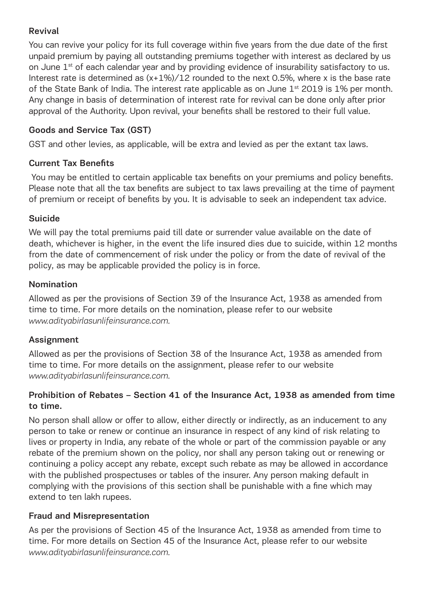#### Revival

You can revive your policy for its full coverage within five years from the due date of the first unpaid premium by paying all outstanding premiums together with interest as declared by us on June 1<sup>st</sup> of each calendar year and by providing evidence of insurability satisfactory to us. Interest rate is determined as  $(x+1\%)/12$  rounded to the next 0.5%, where x is the base rate of the State Bank of India. The interest rate applicable as on June 1<sup>st</sup> 2019 is 1% per month. Any change in basis of determination of interest rate for revival can be done only after prior approval of the Authority. Upon revival, your benefits shall be restored to their full value.

### Goods and Service Tax (GST)

GST and other levies, as applicable, will be extra and levied as per the extant tax laws.

#### Current Tax Benefits

 You may be entitled to certain applicable tax benefits on your premiums and policy benefits. Please note that all the tax benefits are subject to tax laws prevailing at the time of payment of premium or receipt of benefits by you. It is advisable to seek an independent tax advice.

#### Suicide

We will pay the total premiums paid till date or surrender value available on the date of death, whichever is higher, in the event the life insured dies due to suicide, within 12 months from the date of commencement of risk under the policy or from the date of revival of the policy, as may be applicable provided the policy is in force.

#### Nomination

Allowed as per the provisions of Section 39 of the Insurance Act, 1938 as amended from time to time. For more details on the nomination, please refer to our website *www.adityabirlasunlifeinsurance.com.*

#### Assignment

Allowed as per the provisions of Section 38 of the Insurance Act, 1938 as amended from time to time. For more details on the assignment, please refer to our website *www.adityabirlasunlifeinsurance.com.*

#### Prohibition of Rebates – Section 41 of the Insurance Act, 1938 as amended from time to time.

No person shall allow or offer to allow, either directly or indirectly, as an inducement to any person to take or renew or continue an insurance in respect of any kind of risk relating to lives or property in India, any rebate of the whole or part of the commission payable or any rebate of the premium shown on the policy, nor shall any person taking out or renewing or continuing a policy accept any rebate, except such rebate as may be allowed in accordance with the published prospectuses or tables of the insurer. Any person making default in complying with the provisions of this section shall be punishable with a fine which may extend to ten lakh rupees.

#### Fraud and Misrepresentation

As per the provisions of Section 45 of the Insurance Act, 1938 as amended from time to time. For more details on Section 45 of the Insurance Act, please refer to our website *www.adityabirlasunlifeinsurance.com.*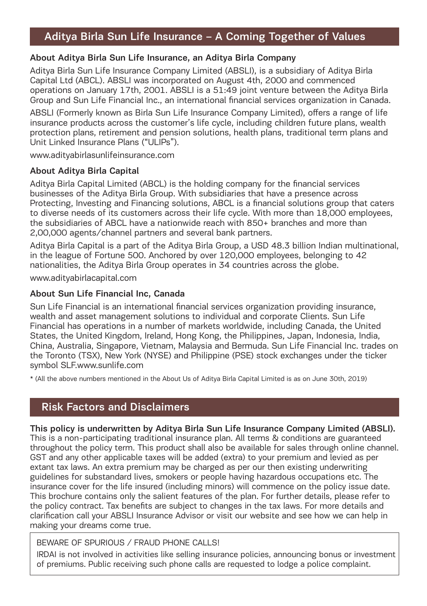## Aditya Birla Sun Life Insurance – A Coming Together of Values

#### About Aditya Birla Sun Life Insurance, an Aditya Birla Company

Aditya Birla Sun Life Insurance Company Limited (ABSLI), is a subsidiary of Aditya Birla Capital Ltd (ABCL). ABSLI was incorporated on August 4th, 2000 and commenced operations on January 17th, 2001. ABSLI is a 51:49 joint venture between the Aditya Birla Group and Sun Life Financial Inc., an international financial services organization in Canada.

ABSLI (Formerly known as Birla Sun Life Insurance Company Limited), offers a range of life insurance products across the customer's life cycle, including children future plans, wealth protection plans, retirement and pension solutions, health plans, traditional term plans and Unit Linked Insurance Plans ("ULIPs").

www.adityabirlasunlifeinsurance.com

#### About Aditya Birla Capital

Aditya Birla Capital Limited (ABCL) is the holding company for the financial services businesses of the Aditya Birla Group. With subsidiaries that have a presence across Protecting, Investing and Financing solutions, ABCL is a financial solutions group that caters to diverse needs of its customers across their life cycle. With more than 18,000 employees, the subsidiaries of ABCL have a nationwide reach with 850+ branches and more than 2,00,000 agents/channel partners and several bank partners.

Aditya Birla Capital is a part of the Aditya Birla Group, a USD 48.3 billion Indian multinational, in the league of Fortune 500. Anchored by over 120,000 employees, belonging to 42 nationalities, the Aditya Birla Group operates in 34 countries across the globe.

www.adityabirlacapital.com

#### About Sun Life Financial Inc, Canada

Sun Life Financial is an international financial services organization providing insurance, wealth and asset management solutions to individual and corporate Clients. Sun Life Financial has operations in a number of markets worldwide, including Canada, the United States, the United Kingdom, Ireland, Hong Kong, the Philippines, Japan, Indonesia, India, China, Australia, Singapore, Vietnam, Malaysia and Bermuda. Sun Life Financial Inc. trades on the Toronto (TSX), New York (NYSE) and Philippine (PSE) stock exchanges under the ticker symbol SLF.www.sunlife.com

\* (All the above numbers mentioned in the About Us of Aditya Birla Capital Limited is as on June 30th, 2019)

### Risk Factors and Disclaimers

#### This policy is underwritten by Aditya Birla Sun Life Insurance Company Limited (ABSLI).

This is a non-participating traditional insurance plan. All terms & conditions are guaranteed throughout the policy term. This product shall also be available for sales through online channel. GST and any other applicable taxes will be added (extra) to your premium and levied as per extant tax laws. An extra premium may be charged as per our then existing underwriting guidelines for substandard lives, smokers or people having hazardous occupations etc. The insurance cover for the life insured (including minors) will commence on the policy issue date. This brochure contains only the salient features of the plan. For further details, please refer to the policy contract. Tax benefits are subject to changes in the tax laws. For more details and clarification call your ABSLI Insurance Advisor or visit our website and see how we can help in making your dreams come true.

#### BEWARE OF SPURIOUS / FRAUD PHONE CALLS!

IRDAI is not involved in activities like selling insurance policies, announcing bonus or investment of premiums. Public receiving such phone calls are requested to lodge a police complaint.